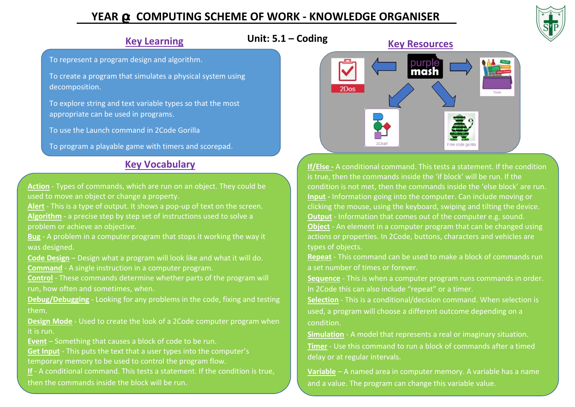## **YEAR : COMPUTING SCHEME OF WORK - KNOWLEDGE ORGANISER**



## **Key Learning**

To represent a program design and algorithm.

To create a program that simulates a physical system using decomposition.

To explore string and text variable types so that the most appropriate can be used in programs.

To use the Launch command in 2Code Gorilla

To program a playable game with timers and scorepad.

## **Key Vocabulary**

**Action** - Types of commands, which are run on an object. They could be used to move an object or change a property.

**Alert** - This is a type of output. It shows a pop-up of text on the screen. **Algorithm** - a precise step by step set of instructions used to solve a problem or achieve an objective.

**Bug** - A problem in a computer program that stops it working the way it was designed.

**Code Design** – Design what a program will look like and what it will do. **Command** - A single instruction in a computer program.

**Control** - These commands determine whether parts of the program will run, how often and sometimes, when.

**Debug/Debugging** - Looking for any problems in the code, fixing and testing them.

**Design Mode** - Used to create the look of a 2Code computer program when it is run.

**Event** – Something that causes a block of code to be run.

**Get Input** - This puts the text that a user types into the computer's temporary memory to be used to control the program flow.

**If** - A conditional command. This tests a statement. If the condition is true, then the commands inside the block will be run.



**If/Else -** A conditional command. This tests a statement. If the condition is true, then the commands inside the 'if block' will be run. If the condition is not met, then the commands inside the 'else block' are run. **Input -** Information going into the computer. Can include moving or clicking the mouse, using the keyboard, swiping and tilting the device. **Output** - Information that comes out of the computer e.g. sound. **Object** - An element in a computer program that can be changed using actions or properties. In 2Code, buttons, characters and vehicles are types of objects.

**Repeat** - This command can be used to make a block of commands run a set number of times or forever.

**Sequence** - This is when a computer program runs commands in order. In 2Code this can also include "repeat" or a timer.

**Selection** - This is a conditional/decision command. When selection is used, a program will choose a different outcome depending on a condition.

**Simulation** - A model that represents a real or imaginary situation. **Timer** - Use this command to run a block of commands after a timed delay or at regular intervals.

**Variable** – A named area in computer memory. A variable has a name and a value. The program can change this variable value.